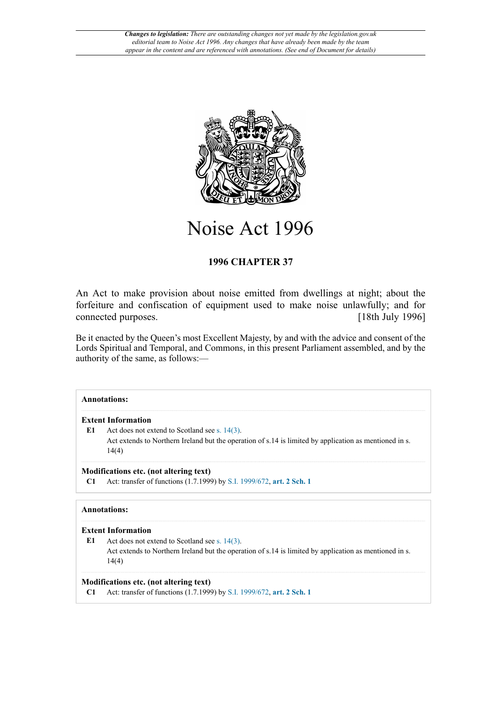

Noise Act 1996

# **1996 CHAPTER 37**

An Act to make provision about noise emitted from dwellings at night; about the forfeiture and confiscation of equipment used to make noise unlawfully; and for connected purposes. [18th July 1996]

Be it enacted by the Queen's most Excellent Majesty, by and with the advice and consent of the Lords Spiritual and Temporal, and Commons, in this present Parliament assembled, and by the authority of the same, as follows:—

# **Annotations: Extent Information** E1 Act does not extend to Scotland see [s. 14\(3\).](http://www.legislation.gov.uk/id/ukpga/1996/37/section/14/3) Act extends to Northern Ireland but the operation of s.14 is limited by application as mentioned in s. 14(4) **Modifications etc. (not altering text) C1** Act: transfer of functions (1.7.1999) by [S.I. 1999/672](http://www.legislation.gov.uk/id/uksi/1999/672), **[art. 2 Sch. 1](http://www.legislation.gov.uk/id/uksi/1999/672/article/2/schedule/1) Annotations: Extent Information** E1 Act does not extend to Scotland see [s. 14\(3\).](http://www.legislation.gov.uk/id/ukpga/1996/37/section/14/3) Act extends to Northern Ireland but the operation of s.14 is limited by application as mentioned in s. 14(4) **Modifications etc. (not altering text)**

**C1** Act: transfer of functions (1.7.1999) by [S.I. 1999/672](http://www.legislation.gov.uk/id/uksi/1999/672), **[art. 2 Sch. 1](http://www.legislation.gov.uk/id/uksi/1999/672/article/2/schedule/1)**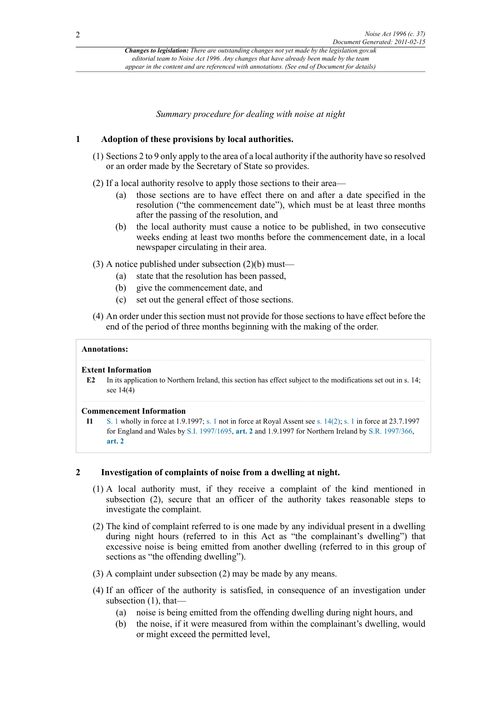*Summary procedure for dealing with noise at night*

# **1 Adoption of these provisions by local authorities.**

- (1) Sections 2 to 9 only apply to the area of a local authority if the authority have so resolved or an order made by the Secretary of State so provides.
- (2) If a local authority resolve to apply those sections to their area—
	- (a) those sections are to have effect there on and after a date specified in the resolution ("the commencement date"), which must be at least three months after the passing of the resolution, and
	- (b) the local authority must cause a notice to be published, in two consecutive weeks ending at least two months before the commencement date, in a local newspaper circulating in their area.
- (3) A notice published under subsection (2)(b) must—
	- (a) state that the resolution has been passed,
	- (b) give the commencement date, and
	- (c) set out the general effect of those sections.
- (4) An order under this section must not provide for those sections to have effect before the end of the period of three months beginning with the making of the order.

#### **Annotations:**

#### **Extent Information**

**E2** In its application to Northern Ireland, this section has effect subject to the modifications set out in s. 14; see 14(4)

#### **Commencement Information**

**I1** [S. 1](http://www.legislation.gov.uk/id/ukpga/1996/37/section/1) wholly in force at 1.9.1997; [s. 1](http://www.legislation.gov.uk/id/ukpga/1996/37/section/1) not in force at Royal Assent see [s. 14\(2\)](http://www.legislation.gov.uk/id/ukpga/1996/37/section/14/2); [s. 1](http://www.legislation.gov.uk/id/ukpga/1996/37/section/1) in force at 23.7.1997 for England and Wales by [S.I. 1997/1695](http://www.legislation.gov.uk/id/uksi/1997/1695), **[art. 2](http://www.legislation.gov.uk/id/uksi/1997/1695/article/2)** and 1.9.1997 for Northern Ireland by [S.R. 1997/366,](http://www.legislation.gov.uk/id/nisr/1997/366) **[art. 2](http://www.legislation.gov.uk/id/nisr/1997/366/article/2)**

# **2 Investigation of complaints of noise from a dwelling at night.**

- (1) A local authority must, if they receive a complaint of the kind mentioned in subsection (2), secure that an officer of the authority takes reasonable steps to investigate the complaint.
- (2) The kind of complaint referred to is one made by any individual present in a dwelling during night hours (referred to in this Act as "the complainant's dwelling") that excessive noise is being emitted from another dwelling (referred to in this group of sections as "the offending dwelling").
- (3) A complaint under subsection (2) may be made by any means.
- (4) If an officer of the authority is satisfied, in consequence of an investigation under subsection (1), that—
	- (a) noise is being emitted from the offending dwelling during night hours, and
	- (b) the noise, if it were measured from within the complainant's dwelling, would or might exceed the permitted level,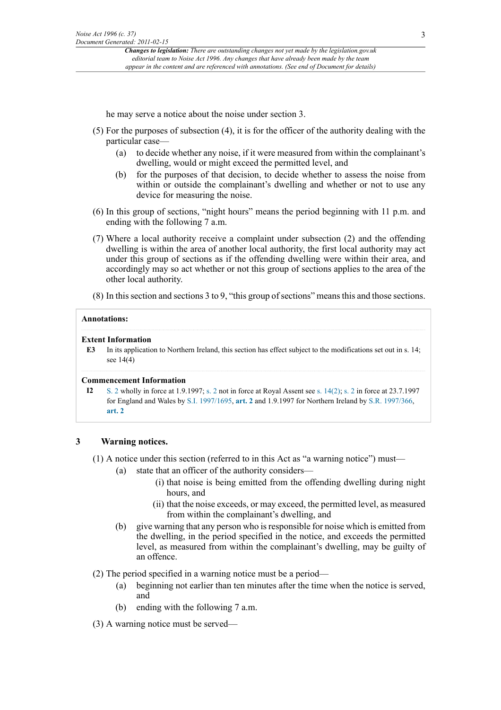he may serve a notice about the noise under section 3.

- (5) For the purposes of subsection (4), it is for the officer of the authority dealing with the particular case—
	- (a) to decide whether any noise, if it were measured from within the complainant's dwelling, would or might exceed the permitted level, and
	- (b) for the purposes of that decision, to decide whether to assess the noise from within or outside the complainant's dwelling and whether or not to use any device for measuring the noise.
- (6) In this group of sections, "night hours" means the period beginning with 11 p.m. and ending with the following 7 a.m.
- (7) Where a local authority receive a complaint under subsection (2) and the offending dwelling is within the area of another local authority, the first local authority may act under this group of sections as if the offending dwelling were within their area, and accordingly may so act whether or not this group of sections applies to the area of the other local authority.
- (8) In this section and sections 3 to 9, "this group of sections" means this and those sections.

#### **Annotations:**

#### **Extent Information**

**E3** In its application to Northern Ireland, this section has effect subject to the modifications set out in s. 14; see 14(4)

#### **Commencement Information**

**I2** [S. 2](http://www.legislation.gov.uk/id/ukpga/1996/37/section/2) wholly in force at 1.9.1997; [s. 2](http://www.legislation.gov.uk/id/ukpga/1996/37/section/2) not in force at Royal Assent see [s. 14\(2\)](http://www.legislation.gov.uk/id/ukpga/1996/37/section/14/2); [s. 2](http://www.legislation.gov.uk/id/ukpga/1996/37/section/2) in force at 23.7.1997 for England and Wales by [S.I. 1997/1695](http://www.legislation.gov.uk/id/uksi/1997/1695), **[art. 2](http://www.legislation.gov.uk/id/uksi/1997/1695/article/2)** and 1.9.1997 for Northern Ireland by [S.R. 1997/366,](http://www.legislation.gov.uk/id/nisr/1997/366) **[art. 2](http://www.legislation.gov.uk/id/nisr/1997/366/article/2)**

# **3 Warning notices.**

- (1) A notice under this section (referred to in this Act as "a warning notice") must—
	- (a) state that an officer of the authority considers—
		- (i) that noise is being emitted from the offending dwelling during night hours, and
		- (ii) that the noise exceeds, or may exceed, the permitted level, as measured from within the complainant's dwelling, and
	- (b) give warning that any person who is responsible for noise which is emitted from the dwelling, in the period specified in the notice, and exceeds the permitted level, as measured from within the complainant's dwelling, may be guilty of an offence.
- (2) The period specified in a warning notice must be a period—
	- (a) beginning not earlier than ten minutes after the time when the notice is served, and
	- (b) ending with the following 7 a.m.
- (3) A warning notice must be served—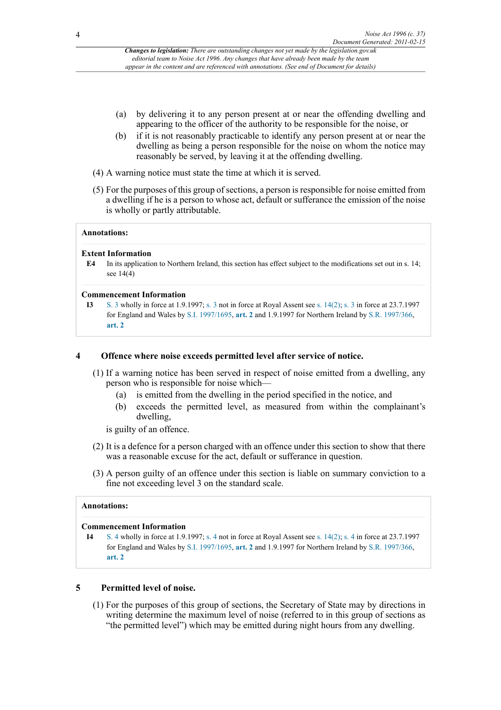- (a) by delivering it to any person present at or near the offending dwelling and appearing to the officer of the authority to be responsible for the noise, or
- (b) if it is not reasonably practicable to identify any person present at or near the dwelling as being a person responsible for the noise on whom the notice may reasonably be served, by leaving it at the offending dwelling.
- (4) A warning notice must state the time at which it is served.
- (5) For the purposes of this group of sections, a person is responsible for noise emitted from a dwelling if he is a person to whose act, default or sufferance the emission of the noise is wholly or partly attributable.

#### **Annotations:**

# **Extent Information**

**E4** In its application to Northern Ireland, this section has effect subject to the modifications set out in s. 14; see 14(4)

#### **Commencement Information**

**I3** [S. 3](http://www.legislation.gov.uk/id/ukpga/1996/37/section/3) wholly in force at 1.9.1997; [s. 3](http://www.legislation.gov.uk/id/ukpga/1996/37/section/3) not in force at Royal Assent see [s. 14\(2\)](http://www.legislation.gov.uk/id/ukpga/1996/37/section/14/2); [s. 3](http://www.legislation.gov.uk/id/ukpga/1996/37/section/3) in force at 23.7.1997 for England and Wales by [S.I. 1997/1695](http://www.legislation.gov.uk/id/uksi/1997/1695), **[art. 2](http://www.legislation.gov.uk/id/uksi/1997/1695/article/2)** and 1.9.1997 for Northern Ireland by [S.R. 1997/366,](http://www.legislation.gov.uk/id/nisr/1997/366) **[art. 2](http://www.legislation.gov.uk/id/nisr/1997/366/article/2)**

# **4 Offence where noise exceeds permitted level after service of notice.**

- (1) If a warning notice has been served in respect of noise emitted from a dwelling, any person who is responsible for noise which—
	- (a) is emitted from the dwelling in the period specified in the notice, and
	- (b) exceeds the permitted level, as measured from within the complainant's dwelling,

is guilty of an offence.

- (2) It is a defence for a person charged with an offence under this section to show that there was a reasonable excuse for the act, default or sufferance in question.
- (3) A person guilty of an offence under this section is liable on summary conviction to a fine not exceeding level 3 on the standard scale.

# **Annotations:**

#### **Commencement Information**

**I4** [S. 4](http://www.legislation.gov.uk/id/ukpga/1996/37/section/4) wholly in force at 1.9.1997; [s. 4](http://www.legislation.gov.uk/id/ukpga/1996/37/section/4) not in force at Royal Assent see [s. 14\(2\)](http://www.legislation.gov.uk/id/ukpga/1996/37/section/14/2); [s. 4](http://www.legislation.gov.uk/id/ukpga/1996/37/section/4) in force at 23.7.1997 for England and Wales by [S.I. 1997/1695](http://www.legislation.gov.uk/id/uksi/1997/1695), **[art. 2](http://www.legislation.gov.uk/id/uksi/1997/1695/article/2)** and 1.9.1997 for Northern Ireland by [S.R. 1997/366,](http://www.legislation.gov.uk/id/nisr/1997/366) **[art. 2](http://www.legislation.gov.uk/id/nisr/1997/366/article/2)**

# **5 Permitted level of noise.**

(1) For the purposes of this group of sections, the Secretary of State may by directions in writing determine the maximum level of noise (referred to in this group of sections as "the permitted level") which may be emitted during night hours from any dwelling.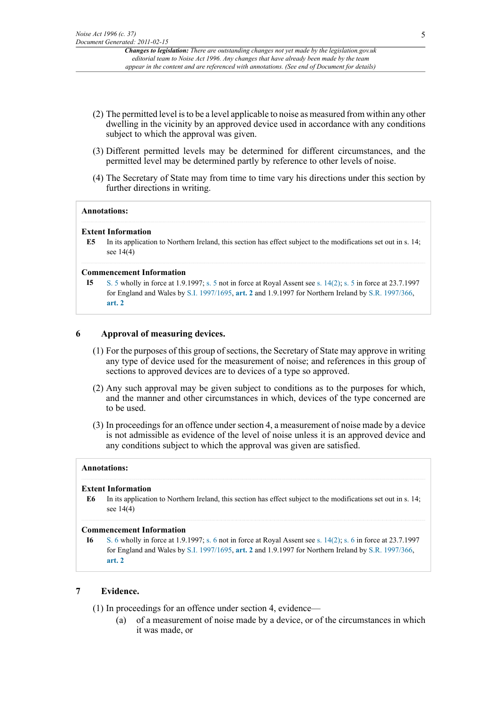- (2) The permitted level is to be a level applicable to noise as measured from within any other dwelling in the vicinity by an approved device used in accordance with any conditions subject to which the approval was given.
- (3) Different permitted levels may be determined for different circumstances, and the permitted level may be determined partly by reference to other levels of noise.
- (4) The Secretary of State may from time to time vary his directions under this section by further directions in writing.

#### **Annotations:**

#### **Extent Information**

**E5** In its application to Northern Ireland, this section has effect subject to the modifications set out in s. 14; see 14(4)

#### **Commencement Information**

**I5** [S. 5](http://www.legislation.gov.uk/id/ukpga/1996/37/section/5) wholly in force at 1.9.1997; [s. 5](http://www.legislation.gov.uk/id/ukpga/1996/37/section/5) not in force at Royal Assent see [s. 14\(2\)](http://www.legislation.gov.uk/id/ukpga/1996/37/section/14/2); [s. 5](http://www.legislation.gov.uk/id/ukpga/1996/37/section/5) in force at 23.7.1997 for England and Wales by [S.I. 1997/1695](http://www.legislation.gov.uk/id/uksi/1997/1695), **[art. 2](http://www.legislation.gov.uk/id/uksi/1997/1695/article/2)** and 1.9.1997 for Northern Ireland by [S.R. 1997/366,](http://www.legislation.gov.uk/id/nisr/1997/366) **[art. 2](http://www.legislation.gov.uk/id/nisr/1997/366/article/2)**

# **6 Approval of measuring devices.**

- (1) For the purposes of this group of sections, the Secretary of State may approve in writing any type of device used for the measurement of noise; and references in this group of sections to approved devices are to devices of a type so approved.
- (2) Any such approval may be given subject to conditions as to the purposes for which, and the manner and other circumstances in which, devices of the type concerned are to be used.
- (3) In proceedings for an offence under section 4, a measurement of noise made by a device is not admissible as evidence of the level of noise unless it is an approved device and any conditions subject to which the approval was given are satisfied.

#### **Annotations:**

# **Extent Information**

**E6** In its application to Northern Ireland, this section has effect subject to the modifications set out in s. 14; see 14(4)

#### **Commencement Information**

**I6** [S. 6](http://www.legislation.gov.uk/id/ukpga/1996/37/section/6) wholly in force at 1.9.1997; [s. 6](http://www.legislation.gov.uk/id/ukpga/1996/37/section/6) not in force at Royal Assent see [s. 14\(2\)](http://www.legislation.gov.uk/id/ukpga/1996/37/section/14/2); [s. 6](http://www.legislation.gov.uk/id/ukpga/1996/37/section/6) in force at 23.7.1997 for England and Wales by [S.I. 1997/1695](http://www.legislation.gov.uk/id/uksi/1997/1695), **[art. 2](http://www.legislation.gov.uk/id/uksi/1997/1695/article/2)** and 1.9.1997 for Northern Ireland by [S.R. 1997/366,](http://www.legislation.gov.uk/id/nisr/1997/366) **[art. 2](http://www.legislation.gov.uk/id/nisr/1997/366/article/2)**

# **7 Evidence.**

- (1) In proceedings for an offence under section 4, evidence—
	- (a) of a measurement of noise made by a device, or of the circumstances in which it was made, or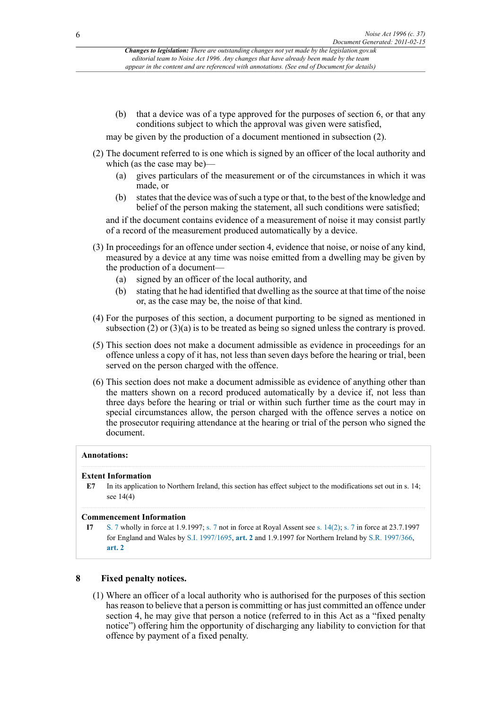(b) that a device was of a type approved for the purposes of section 6, or that any conditions subject to which the approval was given were satisfied,

may be given by the production of a document mentioned in subsection (2).

- (2) The document referred to is one which is signed by an officer of the local authority and which (as the case may be)—
	- (a) gives particulars of the measurement or of the circumstances in which it was made, or
	- (b) states that the device was of such a type or that, to the best of the knowledge and belief of the person making the statement, all such conditions were satisfied;

and if the document contains evidence of a measurement of noise it may consist partly of a record of the measurement produced automatically by a device.

- (3) In proceedings for an offence under section 4, evidence that noise, or noise of any kind, measured by a device at any time was noise emitted from a dwelling may be given by the production of a document—
	- (a) signed by an officer of the local authority, and
	- (b) stating that he had identified that dwelling as the source at that time of the noise or, as the case may be, the noise of that kind.
- (4) For the purposes of this section, a document purporting to be signed as mentioned in subsection (2) or (3)(a) is to be treated as being so signed unless the contrary is proved.
- (5) This section does not make a document admissible as evidence in proceedings for an offence unless a copy of it has, not less than seven days before the hearing or trial, been served on the person charged with the offence.
- (6) This section does not make a document admissible as evidence of anything other than the matters shown on a record produced automatically by a device if, not less than three days before the hearing or trial or within such further time as the court may in special circumstances allow, the person charged with the offence serves a notice on the prosecutor requiring attendance at the hearing or trial of the person who signed the document.

# **Annotations:**

# **Extent Information**

**E7** In its application to Northern Ireland, this section has effect subject to the modifications set out in s. 14; see 14(4)

#### **Commencement Information**

**I7** [S. 7](http://www.legislation.gov.uk/id/ukpga/1996/37/section/7) wholly in force at 1.9.1997; [s. 7](http://www.legislation.gov.uk/id/ukpga/1996/37/section/7) not in force at Royal Assent see [s. 14\(2\)](http://www.legislation.gov.uk/id/ukpga/1996/37/section/14/2); [s. 7](http://www.legislation.gov.uk/id/ukpga/1996/37/section/7) in force at 23.7.1997 for England and Wales by [S.I. 1997/1695](http://www.legislation.gov.uk/id/uksi/1997/1695), **[art. 2](http://www.legislation.gov.uk/id/uksi/1997/1695/article/2)** and 1.9.1997 for Northern Ireland by [S.R. 1997/366,](http://www.legislation.gov.uk/id/nisr/1997/366) **[art. 2](http://www.legislation.gov.uk/id/nisr/1997/366/article/2)**

# **8 Fixed penalty notices.**

(1) Where an officer of a local authority who is authorised for the purposes of this section has reason to believe that a person is committing or has just committed an offence under section 4, he may give that person a notice (referred to in this Act as a "fixed penalty notice") offering him the opportunity of discharging any liability to conviction for that offence by payment of a fixed penalty.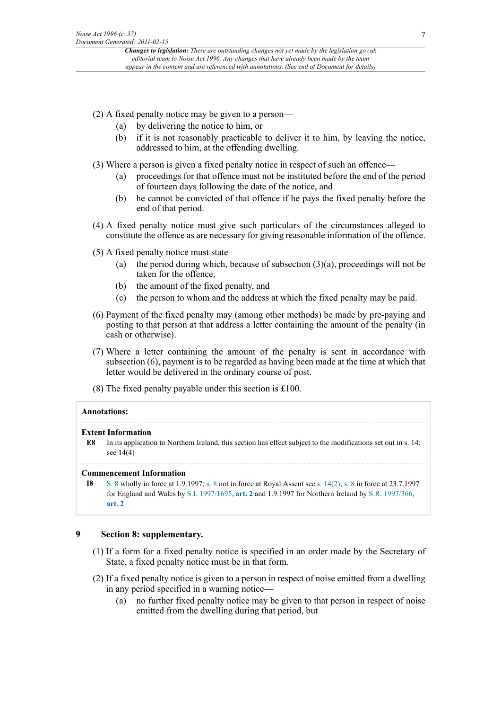- (2) A fixed penalty notice may be given to a person—
	- (a) by delivering the notice to him, or
	- (b) if it is not reasonably practicable to deliver it to him, by leaving the notice, addressed to him, at the offending dwelling.
- (3) Where a person is given a fixed penalty notice in respect of such an offence—
	- (a) proceedings for that offence must not be instituted before the end of the period of fourteen days following the date of the notice, and
	- (b) he cannot be convicted of that offence if he pays the fixed penalty before the end of that period.
- (4) A fixed penalty notice must give such particulars of the circumstances alleged to constitute the offence as are necessary for giving reasonable information of the offence.
- (5) A fixed penalty notice must state—
	- (a) the period during which, because of subsection  $(3)(a)$ , proceedings will not be taken for the offence,
	- (b) the amount of the fixed penalty, and
	- (c) the person to whom and the address at which the fixed penalty may be paid.
- (6) Payment of the fixed penalty may (among other methods) be made by pre-paying and posting to that person at that address a letter containing the amount of the penalty (in cash or otherwise).
- (7) Where a letter containing the amount of the penalty is sent in accordance with subsection (6), payment is to be regarded as having been made at the time at which that letter would be delivered in the ordinary course of post.
- (8) The fixed penalty payable under this section is £100.

# **Annotations:**

# **Extent Information**

**E8** In its application to Northern Ireland, this section has effect subject to the modifications set out in s. 14; see 14(4)

# **Commencement Information**

**I8** [S. 8](http://www.legislation.gov.uk/id/ukpga/1996/37/section/8) wholly in force at 1.9.1997; [s. 8](http://www.legislation.gov.uk/id/ukpga/1996/37/section/8) not in force at Royal Assent see [s. 14\(2\)](http://www.legislation.gov.uk/id/ukpga/1996/37/section/14/2); [s. 8](http://www.legislation.gov.uk/id/ukpga/1996/37/section/8) in force at 23.7.1997 for England and Wales by [S.I. 1997/1695](http://www.legislation.gov.uk/id/uksi/1997/1695), **[art. 2](http://www.legislation.gov.uk/id/uksi/1997/1695/article/2)** and 1.9.1997 for Northern Ireland by [S.R. 1997/366,](http://www.legislation.gov.uk/id/nisr/1997/366) **[art. 2](http://www.legislation.gov.uk/id/nisr/1997/366/article/2)**

# **9 Section 8: supplementary.**

- (1) If a form for a fixed penalty notice is specified in an order made by the Secretary of State, a fixed penalty notice must be in that form.
- (2) If a fixed penalty notice is given to a person in respect of noise emitted from a dwelling in any period specified in a warning notice—
	- (a) no further fixed penalty notice may be given to that person in respect of noise emitted from the dwelling during that period, but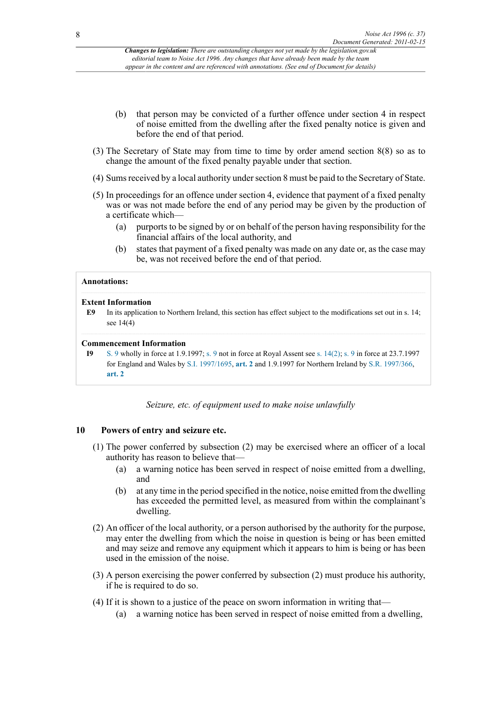- (b) that person may be convicted of a further offence under section 4 in respect of noise emitted from the dwelling after the fixed penalty notice is given and before the end of that period.
- (3) The Secretary of State may from time to time by order amend section 8(8) so as to change the amount of the fixed penalty payable under that section.
- (4) Sums received by a local authority under section 8 must be paid to the Secretary of State.
- (5) In proceedings for an offence under section 4, evidence that payment of a fixed penalty was or was not made before the end of any period may be given by the production of a certificate which—
	- (a) purports to be signed by or on behalf of the person having responsibility for the financial affairs of the local authority, and
	- (b) states that payment of a fixed penalty was made on any date or, as the case may be, was not received before the end of that period.

# **Annotations:**

#### **Extent Information**

**E9** In its application to Northern Ireland, this section has effect subject to the modifications set out in s. 14; see 14(4)

#### **Commencement Information**

**I9** [S. 9](http://www.legislation.gov.uk/id/ukpga/1996/37/section/9) wholly in force at 1.9.1997; [s. 9](http://www.legislation.gov.uk/id/ukpga/1996/37/section/9) not in force at Royal Assent see [s. 14\(2\)](http://www.legislation.gov.uk/id/ukpga/1996/37/section/14/2); [s. 9](http://www.legislation.gov.uk/id/ukpga/1996/37/section/9) in force at 23.7.1997 for England and Wales by [S.I. 1997/1695](http://www.legislation.gov.uk/id/uksi/1997/1695), **[art. 2](http://www.legislation.gov.uk/id/uksi/1997/1695/article/2)** and 1.9.1997 for Northern Ireland by [S.R. 1997/366,](http://www.legislation.gov.uk/id/nisr/1997/366) **[art. 2](http://www.legislation.gov.uk/id/nisr/1997/366/article/2)**

*Seizure, etc. of equipment used to make noise unlawfully*

# **10 Powers of entry and seizure etc.**

- (1) The power conferred by subsection (2) may be exercised where an officer of a local authority has reason to believe that—
	- (a) a warning notice has been served in respect of noise emitted from a dwelling, and
	- (b) at any time in the period specified in the notice, noise emitted from the dwelling has exceeded the permitted level, as measured from within the complainant's dwelling.
- (2) An officer of the local authority, or a person authorised by the authority for the purpose, may enter the dwelling from which the noise in question is being or has been emitted and may seize and remove any equipment which it appears to him is being or has been used in the emission of the noise.
- (3) A person exercising the power conferred by subsection (2) must produce his authority, if he is required to do so.
- (4) If it is shown to a justice of the peace on sworn information in writing that—
	- (a) a warning notice has been served in respect of noise emitted from a dwelling,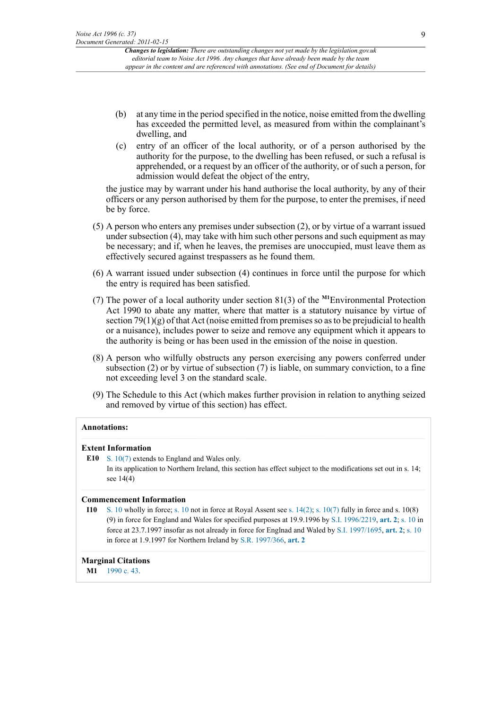- (b) at any time in the period specified in the notice, noise emitted from the dwelling has exceeded the permitted level, as measured from within the complainant's dwelling, and
- (c) entry of an officer of the local authority, or of a person authorised by the authority for the purpose, to the dwelling has been refused, or such a refusal is apprehended, or a request by an officer of the authority, or of such a person, for admission would defeat the object of the entry,

the justice may by warrant under his hand authorise the local authority, by any of their officers or any person authorised by them for the purpose, to enter the premises, if need be by force.

- (5) A person who enters any premises under subsection (2), or by virtue of a warrant issued under subsection (4), may take with him such other persons and such equipment as may be necessary; and if, when he leaves, the premises are unoccupied, must leave them as effectively secured against trespassers as he found them.
- (6) A warrant issued under subsection (4) continues in force until the purpose for which the entry is required has been satisfied.
- <span id="page-8-1"></span>(7) The power of a local authority under section 81(3) of the **[M1](#page-8-0)**Environmental Protection Act 1990 to abate any matter, where that matter is a statutory nuisance by virtue of section  $79(1)(g)$  of that Act (noise emitted from premises so as to be prejudicial to health or a nuisance), includes power to seize and remove any equipment which it appears to the authority is being or has been used in the emission of the noise in question.
- (8) A person who wilfully obstructs any person exercising any powers conferred under subsection (2) or by virtue of subsection (7) is liable, on summary conviction, to a fine not exceeding level 3 on the standard scale.
- (9) The Schedule to this Act (which makes further provision in relation to anything seized and removed by virtue of this section) has effect.

# **Annotations:**

#### **Extent Information**

**E10** [S. 10\(7\)](http://www.legislation.gov.uk/id/ukpga/1996/37/section/10/7) extends to England and Wales only. In its application to Northern Ireland, this section has effect subject to the modifications set out in s. 14; see 14(4)

#### **Commencement Information**

**I10** [S. 10](http://www.legislation.gov.uk/id/ukpga/1996/37/section/10) wholly in force; [s. 10](http://www.legislation.gov.uk/id/ukpga/1996/37/section/10) not in force at Royal Assent see [s. 14\(2\);](http://www.legislation.gov.uk/id/ukpga/1996/37/section/14/2) [s. 10\(7\)](http://www.legislation.gov.uk/id/ukpga/1996/37/section/10/7) fully in force and s. 10(8) (9) in force for England and Wales for specified purposes at 19.9.1996 by [S.I. 1996/2219,](http://www.legislation.gov.uk/id/uksi/1996/2219) **[art. 2](http://www.legislation.gov.uk/id/uksi/1996/2219/article/2)**; [s. 10](http://www.legislation.gov.uk/id/ukpga/1996/37/section/10) in force at 23.7.1997 insofar as not already in force for Englnad and Waled by [S.I. 1997/1695](http://www.legislation.gov.uk/id/uksi/1997/1695), **[art. 2](http://www.legislation.gov.uk/id/uksi/1997/1695/article/2)**; [s. 10](http://www.legislation.gov.uk/id/ukpga/1996/37/section/10) in force at 1.9.1997 for Northern Ireland by [S.R. 1997/366](http://www.legislation.gov.uk/id/nisr/1997/366), **[art. 2](http://www.legislation.gov.uk/id/nisr/1997/366/article/2)**

#### **Marginal Citations**

<span id="page-8-0"></span>**[M1](#page-8-1)** [1990 c. 43](http://www.legislation.gov.uk/id/ukpga/1990/43).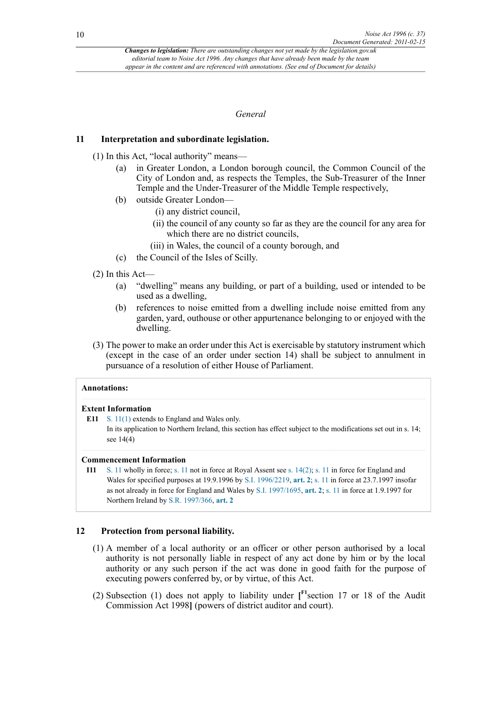# *General*

# **11 Interpretation and subordinate legislation.**

- (1) In this Act, "local authority" means—
	- (a) in Greater London, a London borough council, the Common Council of the City of London and, as respects the Temples, the Sub-Treasurer of the Inner Temple and the Under-Treasurer of the Middle Temple respectively,
	- (b) outside Greater London—
		- (i) any district council,
		- (ii) the council of any county so far as they are the council for any area for which there are no district councils,
		- (iii) in Wales, the council of a county borough, and
	- (c) the Council of the Isles of Scilly.
- (2) In this Act—
	- (a) "dwelling" means any building, or part of a building, used or intended to be used as a dwelling,
	- (b) references to noise emitted from a dwelling include noise emitted from any garden, yard, outhouse or other appurtenance belonging to or enjoyed with the dwelling.
- (3) The power to make an order under this Act is exercisable by statutory instrument which (except in the case of an order under section 14) shall be subject to annulment in pursuance of a resolution of either House of Parliament.

| <b>Annotations:</b>       |                                                                                                               |
|---------------------------|---------------------------------------------------------------------------------------------------------------|
| <b>Extent Information</b> |                                                                                                               |
|                           | E11 S. $11(1)$ extends to England and Wales only.                                                             |
|                           | In its epplication to Northern Ireland, this section has effect subject to the modifications set out in a 14. |

In its application to Northern Ireland, this section has effect subject to the modifications set out in s. 14; see 14(4)

# **Commencement Information**

**I11** [S. 11](http://www.legislation.gov.uk/id/ukpga/1996/37/section/11) wholly in force; [s. 11](http://www.legislation.gov.uk/id/ukpga/1996/37/section/11) not in force at Royal Assent see [s. 14\(2\);](http://www.legislation.gov.uk/id/ukpga/1996/37/section/14/2) [s. 11](http://www.legislation.gov.uk/id/ukpga/1996/37/section/11) in force for England and Wales for specified purposes at 19.9.1996 by [S.I. 1996/2219,](http://www.legislation.gov.uk/id/uksi/1996/2219) **[art. 2](http://www.legislation.gov.uk/id/uksi/1996/2219/article/2)**; [s. 11](http://www.legislation.gov.uk/id/ukpga/1996/37/section/11) in force at 23.7.1997 insofar as not already in force for England and Wales by [S.I. 1997/1695,](http://www.legislation.gov.uk/id/uksi/1997/1695) **[art. 2](http://www.legislation.gov.uk/id/uksi/1997/1695/article/2)**; [s. 11](http://www.legislation.gov.uk/id/ukpga/1996/37/section/11) in force at 1.9.1997 for Northern Ireland by [S.R. 1997/366](http://www.legislation.gov.uk/id/nisr/1997/366), **[art. 2](http://www.legislation.gov.uk/id/nisr/1997/366/article/2)**

# **12 Protection from personal liability.**

- (1) A member of a local authority or an officer or other person authorised by a local authority is not personally liable in respect of any act done by him or by the local authority or any such person if the act was done in good faith for the purpose of executing powers conferred by, or by virtue, of this Act.
- <span id="page-9-0"></span>(2) Subsection (1) does not apply to liability under **[ [F1](#page-10-0)**section 17 or 18 of the Audit Commission Act 1998**]** (powers of district auditor and court).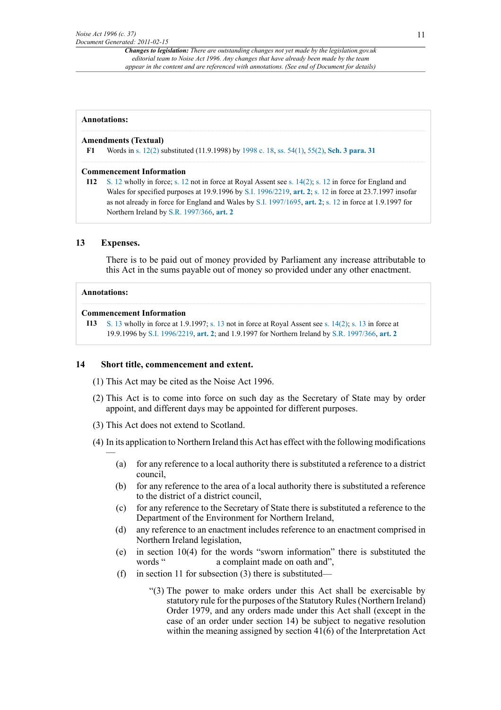# **Annotations:**

# **Amendments (Textual)**

<span id="page-10-0"></span>**[F1](#page-9-0)** Words in [s. 12\(2\)](http://www.legislation.gov.uk/id/ukpga/1996/37/section/12/2) substituted (11.9.1998) by [1998 c. 18](http://www.legislation.gov.uk/id/ukpga/1998/18), [ss. 54\(1\),](http://www.legislation.gov.uk/id/ukpga/1998/18/section/54/1) [55\(2\),](http://www.legislation.gov.uk/id/ukpga/1998/18/section/55/2) **[Sch. 3 para. 31](http://www.legislation.gov.uk/id/ukpga/1998/18/schedule/3/paragraph/31)**

# **Commencement Information**

**I12** [S. 12](http://www.legislation.gov.uk/id/ukpga/1996/37/section/12) wholly in force; [s. 12](http://www.legislation.gov.uk/id/ukpga/1996/37/section/12) not in force at Royal Assent see [s. 14\(2\);](http://www.legislation.gov.uk/id/ukpga/1996/37/section/14/2) [s. 12](http://www.legislation.gov.uk/id/ukpga/1996/37/section/12) in force for England and Wales for specified purposes at 19.9.1996 by [S.I. 1996/2219,](http://www.legislation.gov.uk/id/uksi/1996/2219) **[art. 2](http://www.legislation.gov.uk/id/uksi/1996/2219/article/2)**; [s. 12](http://www.legislation.gov.uk/id/ukpga/1996/37/section/12) in force at 23.7.1997 insofar as not already in force for England and Wales by [S.I. 1997/1695,](http://www.legislation.gov.uk/id/uksi/1997/1695) **[art. 2](http://www.legislation.gov.uk/id/uksi/1997/1695/article/2)**; [s. 12](http://www.legislation.gov.uk/id/ukpga/1996/37/section/12) in force at 1.9.1997 for Northern Ireland by [S.R. 1997/366](http://www.legislation.gov.uk/id/nisr/1997/366), **[art. 2](http://www.legislation.gov.uk/id/nisr/1997/366/article/2)**

# **13 Expenses.**

There is to be paid out of money provided by Parliament any increase attributable to this Act in the sums payable out of money so provided under any other enactment.

# **Annotations:**

—

# **Commencement Information**

```
I13 S. 13 wholly in force at 1.9.1997; s. 13 not in force at Royal Assent see s. 14(2); s. 13 in force at
19.9.1996 by S.I. 1996/2219, art. 2; and 1.9.1997 for Northern Ireland by S.R. 1997/366, art. 2
```
# **14 Short title, commencement and extent.**

- (1) This Act may be cited as the Noise Act 1996.
- (2) This Act is to come into force on such day as the Secretary of State may by order appoint, and different days may be appointed for different purposes.
- (3) This Act does not extend to Scotland.
- (4) In its application to Northern Ireland this Act has effect with the following modifications
	- (a) for any reference to a local authority there is substituted a reference to a district council,
	- (b) for any reference to the area of a local authority there is substituted a reference to the district of a district council,
	- (c) for any reference to the Secretary of State there is substituted a reference to the Department of the Environment for Northern Ireland,
	- (d) any reference to an enactment includes reference to an enactment comprised in Northern Ireland legislation,
	- (e) in section 10(4) for the words "sworn information" there is substituted the words " a complaint made on oath and",
	- (f) in section 11 for subsection (3) there is substituted—
		- "(3) The power to make orders under this Act shall be exercisable by statutory rule for the purposes of the Statutory Rules (Northern Ireland) Order 1979, and any orders made under this Act shall (except in the case of an order under section 14) be subject to negative resolution within the meaning assigned by section 41(6) of the Interpretation Act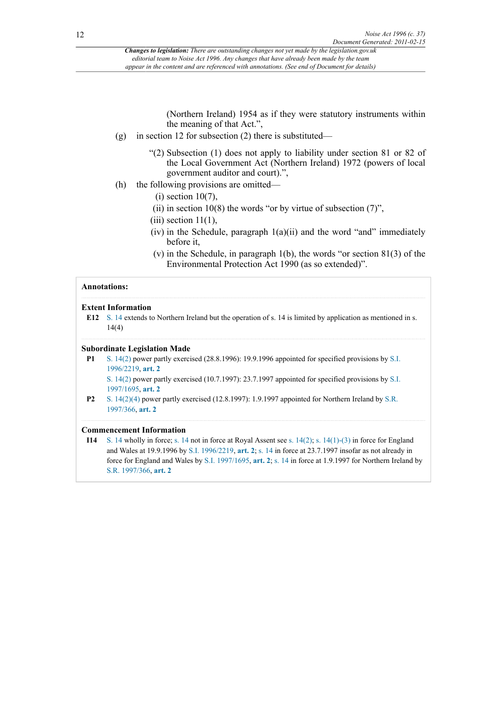(Northern Ireland) 1954 as if they were statutory instruments within the meaning of that Act.",

- (g) in section 12 for subsection (2) there is substituted—
	- "(2) Subsection (1) does not apply to liability under section 81 or 82 of the Local Government Act (Northern Ireland) 1972 (powers of local government auditor and court).",
- (h) the following provisions are omitted—
	- $(i)$  section 10(7),
	- (ii) in section 10(8) the words "or by virtue of subsection  $(7)$ ",
	- $(iii)$  section  $11(1)$ ,
	- (iv) in the Schedule, paragraph  $1(a)(ii)$  and the word "and" immediately before it,
	- (v) in the Schedule, in paragraph 1(b), the words "or section 81(3) of the Environmental Protection Act 1990 (as so extended)".

# **Annotations:**

#### **Extent Information**

**E12** [S. 14](http://www.legislation.gov.uk/id/ukpga/1996/37/section/14) extends to Northern Ireland but the operation of s. 14 is limited by application as mentioned in s. 14(4)

#### **Subordinate Legislation Made**

**P1** [S. 14\(2\)](http://www.legislation.gov.uk/id/ukpga/1996/37/section/14/2) power partly exercised (28.8.1996): 19.9.1996 appointed for specified provisions by [S.I.](http://www.legislation.gov.uk/id/uksi/1996/2219) [1996/2219](http://www.legislation.gov.uk/id/uksi/1996/2219), **[art. 2](http://www.legislation.gov.uk/id/uksi/1996/2219/article/2)**

[S. 14\(2\)](http://www.legislation.gov.uk/id/ukpga/1996/37/section/14/2) power partly exercised (10.7.1997): 23.7.1997 appointed for specified provisions by [S.I.](http://www.legislation.gov.uk/id/uksi/1997/1695) [1997/1695](http://www.legislation.gov.uk/id/uksi/1997/1695), **[art. 2](http://www.legislation.gov.uk/id/uksi/1997/1695/article/2)**

**P2** [S. 14\(2\)\(4\)](http://www.legislation.gov.uk/id/ukpga/1996/37/section/14/2/4) power partly exercised (12.8.1997): 1.9.1997 appointed for Northern Ireland by [S.R.](http://www.legislation.gov.uk/id/nisr/1997/366) [1997/366,](http://www.legislation.gov.uk/id/nisr/1997/366) **[art. 2](http://www.legislation.gov.uk/id/nisr/1997/366/article/2)**

#### **Commencement Information**

**I14** [S. 14](http://www.legislation.gov.uk/id/ukpga/1996/37/section/14) wholly in force; [s. 14](http://www.legislation.gov.uk/id/ukpga/1996/37/section/14) not in force at Royal Assent see [s. 14\(2\);](http://www.legislation.gov.uk/id/ukpga/1996/37/section/14/2) [s. 14\(1\)-\(3\)](http://www.legislation.gov.uk/id/ukpga/1996/37/section/14/1) in force for England and Wales at 19.9.1996 by [S.I. 1996/2219](http://www.legislation.gov.uk/id/uksi/1996/2219), **[art. 2](http://www.legislation.gov.uk/id/uksi/1996/2219/article/2)**; [s. 14](http://www.legislation.gov.uk/id/ukpga/1996/37/section/14) in force at 23.7.1997 insofar as not already in force for England and Wales by [S.I. 1997/1695](http://www.legislation.gov.uk/id/uksi/1997/1695), **[art. 2](http://www.legislation.gov.uk/id/uksi/1997/1695/article/2)**; [s. 14](http://www.legislation.gov.uk/id/ukpga/1996/37/section/14) in force at 1.9.1997 for Northern Ireland by [S.R. 1997/366](http://www.legislation.gov.uk/id/nisr/1997/366), **[art. 2](http://www.legislation.gov.uk/id/nisr/1997/366/article/2)**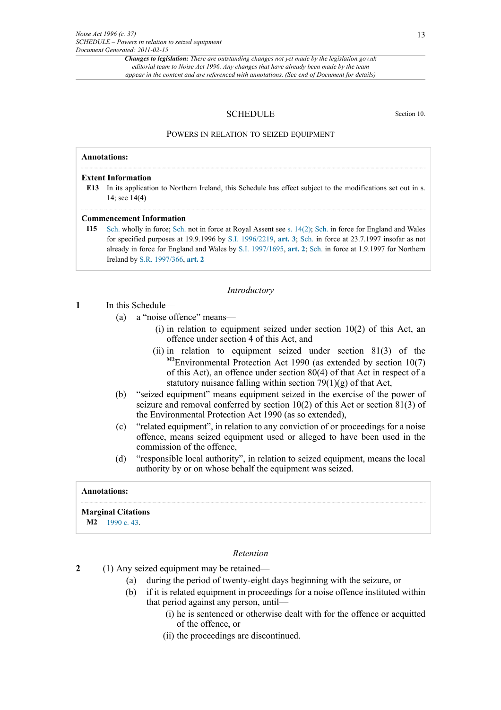#### SCHEDULE Section 10.

#### POWERS IN RELATION TO SEIZED EQUIPMENT

# **Annotations:**

#### **Extent Information**

**E13** In its application to Northern Ireland, this Schedule has effect subject to the modifications set out in s. 14; see 14(4)

#### **Commencement Information**

**I15** [Sch.](http://www.legislation.gov.uk/id/ukpga/1996/37/schedule) wholly in force; [Sch.](http://www.legislation.gov.uk/id/ukpga/1996/37/schedule) not in force at Royal Assent see [s. 14\(2\)](http://www.legislation.gov.uk/id/ukpga/1996/37/section/14/2); [Sch.](http://www.legislation.gov.uk/id/ukpga/1996/37/schedule) in force for England and Wales for specified purposes at 19.9.1996 by [S.I. 1996/2219,](http://www.legislation.gov.uk/id/uksi/1996/2219) **[art. 3](http://www.legislation.gov.uk/id/uksi/1996/2219/article/3)**; [Sch.](http://www.legislation.gov.uk/id/ukpga/1996/37/schedule) in force at 23.7.1997 insofar as not already in force for England and Wales by [S.I. 1997/1695,](http://www.legislation.gov.uk/id/uksi/1997/1695) **[art. 2](http://www.legislation.gov.uk/id/uksi/1997/1695/article/2)**; [Sch.](http://www.legislation.gov.uk/id/ukpga/1996/37/schedule) in force at 1.9.1997 for Northern Ireland by [S.R. 1997/366](http://www.legislation.gov.uk/id/nisr/1997/366), **[art. 2](http://www.legislation.gov.uk/id/nisr/1997/366/article/2)**

#### *Introductory*

#### **1** In this Schedule—

- (a) a "noise offence" means—
	- $(i)$  in relation to equipment seized under section  $10(2)$  of this Act, an offence under section 4 of this Act, and
	- (ii) in relation to equipment seized under section 81(3) of the **[M2](#page-12-0)**Environmental Protection Act 1990 (as extended by section 10(7) of this Act), an offence under section 80(4) of that Act in respect of a statutory nuisance falling within section  $79(1)(g)$  of that Act,
- <span id="page-12-1"></span>(b) "seized equipment" means equipment seized in the exercise of the power of seizure and removal conferred by section 10(2) of this Act or section 81(3) of the Environmental Protection Act 1990 (as so extended),
- (c) "related equipment", in relation to any conviction of or proceedings for a noise offence, means seized equipment used or alleged to have been used in the commission of the offence,
- (d) "responsible local authority", in relation to seized equipment, means the local authority by or on whose behalf the equipment was seized.

#### **Annotations:**

#### **Marginal Citations**

<span id="page-12-0"></span>**[M2](#page-12-1)** [1990 c. 43](http://www.legislation.gov.uk/id/ukpga/1990/43).

#### *Retention*

- **2** (1) Any seized equipment may be retained—
	- (a) during the period of twenty-eight days beginning with the seizure, or
	- (b) if it is related equipment in proceedings for a noise offence instituted within that period against any person, until—
		- (i) he is sentenced or otherwise dealt with for the offence or acquitted of the offence, or
		- (ii) the proceedings are discontinued.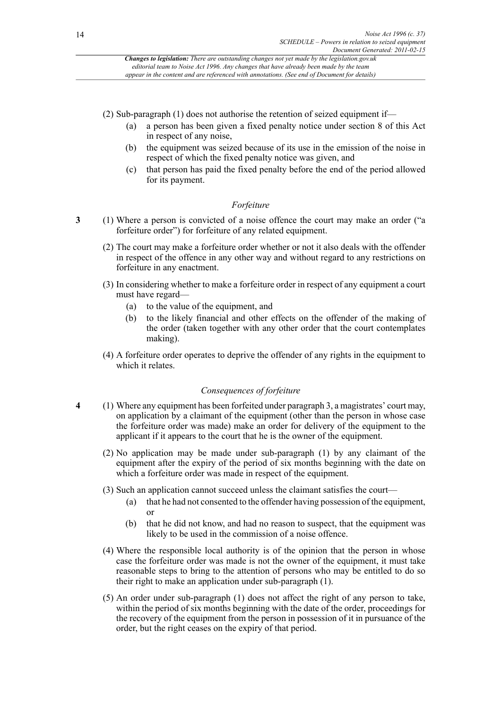(2) Sub-paragraph (1) does not authorise the retention of seized equipment if—

- (a) a person has been given a fixed penalty notice under section 8 of this Act in respect of any noise,
- (b) the equipment was seized because of its use in the emission of the noise in respect of which the fixed penalty notice was given, and
- (c) that person has paid the fixed penalty before the end of the period allowed for its payment.

# *Forfeiture*

- **3** (1) Where a person is convicted of a noise offence the court may make an order ("a forfeiture order") for forfeiture of any related equipment.
	- (2) The court may make a forfeiture order whether or not it also deals with the offender in respect of the offence in any other way and without regard to any restrictions on forfeiture in any enactment.
	- (3) In considering whether to make a forfeiture order in respect of any equipment a court must have regard—
		- (a) to the value of the equipment, and
		- (b) to the likely financial and other effects on the offender of the making of the order (taken together with any other order that the court contemplates making).
	- (4) A forfeiture order operates to deprive the offender of any rights in the equipment to which it relates.

# *Consequences of forfeiture*

- **4** (1) Where any equipment has been forfeited under paragraph 3, a magistrates' court may, on application by a claimant of the equipment (other than the person in whose case the forfeiture order was made) make an order for delivery of the equipment to the applicant if it appears to the court that he is the owner of the equipment.
	- (2) No application may be made under sub-paragraph (1) by any claimant of the equipment after the expiry of the period of six months beginning with the date on which a forfeiture order was made in respect of the equipment.
	- (3) Such an application cannot succeed unless the claimant satisfies the court—
		- (a) that he had not consented to the offender having possession of the equipment, or
		- (b) that he did not know, and had no reason to suspect, that the equipment was likely to be used in the commission of a noise offence.
	- (4) Where the responsible local authority is of the opinion that the person in whose case the forfeiture order was made is not the owner of the equipment, it must take reasonable steps to bring to the attention of persons who may be entitled to do so their right to make an application under sub-paragraph (1).
	- (5) An order under sub-paragraph (1) does not affect the right of any person to take, within the period of six months beginning with the date of the order, proceedings for the recovery of the equipment from the person in possession of it in pursuance of the order, but the right ceases on the expiry of that period.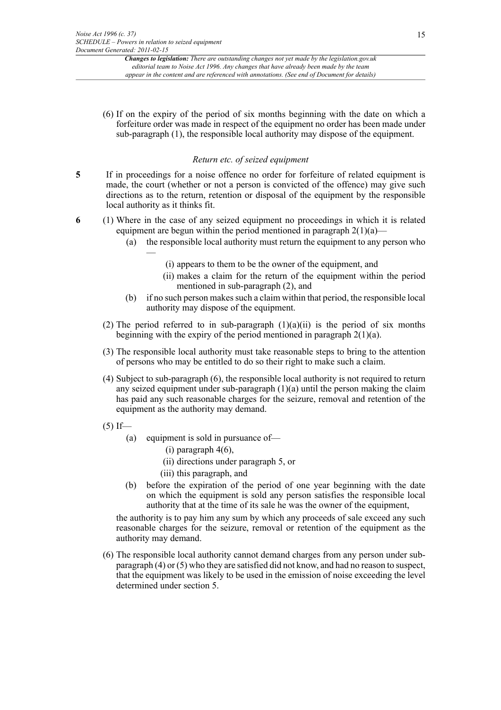(6) If on the expiry of the period of six months beginning with the date on which a forfeiture order was made in respect of the equipment no order has been made under sub-paragraph (1), the responsible local authority may dispose of the equipment.

# *Return etc. of seized equipment*

- **5** If in proceedings for a noise offence no order for forfeiture of related equipment is made, the court (whether or not a person is convicted of the offence) may give such directions as to the return, retention or disposal of the equipment by the responsible local authority as it thinks fit.
- **6** (1) Where in the case of any seized equipment no proceedings in which it is related equipment are begun within the period mentioned in paragraph  $2(1)(a)$ —
	- (a) the responsible local authority must return the equipment to any person who —
		- (i) appears to them to be the owner of the equipment, and
		- (ii) makes a claim for the return of the equipment within the period mentioned in sub-paragraph (2), and
	- (b) if no such person makes such a claim within that period, the responsible local authority may dispose of the equipment.
	- (2) The period referred to in sub-paragraph  $(1)(a)(ii)$  is the period of six months beginning with the expiry of the period mentioned in paragraph  $2(1)(a)$ .
	- (3) The responsible local authority must take reasonable steps to bring to the attention of persons who may be entitled to do so their right to make such a claim.
	- (4) Subject to sub-paragraph (6), the responsible local authority is not required to return any seized equipment under sub-paragraph (1)(a) until the person making the claim has paid any such reasonable charges for the seizure, removal and retention of the equipment as the authority may demand.
	- $(5)$  If—
		- (a) equipment is sold in pursuance of—
			- (i) paragraph 4(6),
			- (ii) directions under paragraph 5, or
			- (iii) this paragraph, and
		- (b) before the expiration of the period of one year beginning with the date on which the equipment is sold any person satisfies the responsible local authority that at the time of its sale he was the owner of the equipment,

the authority is to pay him any sum by which any proceeds of sale exceed any such reasonable charges for the seizure, removal or retention of the equipment as the authority may demand.

(6) The responsible local authority cannot demand charges from any person under subparagraph (4) or (5) who they are satisfied did not know, and had no reason to suspect, that the equipment was likely to be used in the emission of noise exceeding the level determined under section 5.